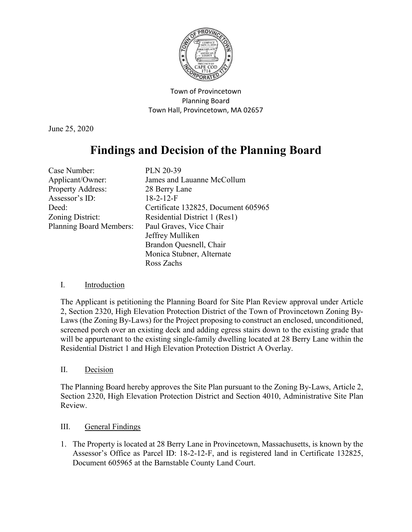

Town of Provincetown Planning Board Town Hall, Provincetown, MA 02657

June 25, 2020

# **Findings and Decision of the Planning Board**

| Case Number:                   | <b>PLN 20-39</b>                    |
|--------------------------------|-------------------------------------|
| Applicant/Owner:               | James and Lauanne McCollum          |
| Property Address:              | 28 Berry Lane                       |
| Assessor's ID:                 | $18-2-12-F$                         |
| Deed:                          | Certificate 132825, Document 605965 |
| Zoning District:               | Residential District 1 (Res1)       |
| <b>Planning Board Members:</b> | Paul Graves, Vice Chair             |
|                                | Jeffrey Mulliken                    |
|                                | Brandon Quesnell, Chair             |
|                                | Monica Stubner, Alternate           |
|                                | Ross Zachs                          |

## I. Introduction

The Applicant is petitioning the Planning Board for Site Plan Review approval under Article 2, Section 2320, High Elevation Protection District of the Town of Provincetown Zoning By-Laws (the Zoning By-Laws) for the Project proposing to construct an enclosed, unconditioned, screened porch over an existing deck and adding egress stairs down to the existing grade that will be appurtenant to the existing single-family dwelling located at 28 Berry Lane within the Residential District 1 and High Elevation Protection District A Overlay.

# II. Decision

The Planning Board hereby approves the Site Plan pursuant to the Zoning By-Laws, Article 2, Section 2320, High Elevation Protection District and Section 4010, Administrative Site Plan Review.

## III. General Findings

1. The Property is located at 28 Berry Lane in Provincetown, Massachusetts, is known by the Assessor's Office as Parcel ID: 18-2-12-F, and is registered land in Certificate 132825, Document 605965 at the Barnstable County Land Court.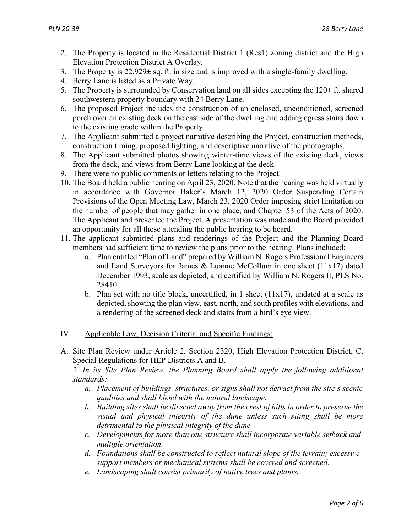- 2. The Property is located in the Residential District 1 (Res1) zoning district and the High Elevation Protection District A Overlay.
- 3. The Property is  $22,929\pm$  sq. ft. in size and is improved with a single-family dwelling.
- 4. Berry Lane is listed as a Private Way.
- 5. The Property is surrounded by Conservation land on all sides excepting the  $120 \pm \text{ft}$ . shared southwestern property boundary with 24 Berry Lane.
- 6. The proposed Project includes the construction of an enclosed, unconditioned, screened porch over an existing deck on the east side of the dwelling and adding egress stairs down to the existing grade within the Property.
- 7. The Applicant submitted a project narrative describing the Project, construction methods, construction timing, proposed lighting, and descriptive narrative of the photographs.
- 8. The Applicant submitted photos showing winter-time views of the existing deck, views from the deck, and views from Berry Lane looking at the deck.
- 9. There were no public comments or letters relating to the Project.
- 10. The Board held a public hearing on April 23, 2020. Note that the hearing was held virtually in accordance with Governor Baker's March 12, 2020 Order Suspending Certain Provisions of the Open Meeting Law, March 23, 2020 Order imposing strict limitation on the number of people that may gather in one place, and Chapter 53 of the Acts of 2020. The Applicant and presented the Project. A presentation was made and the Board provided an opportunity for all those attending the public hearing to be heard.
- 11. The applicant submitted plans and renderings of the Project and the Planning Board members had sufficient time to review the plans prior to the hearing. Plans included:
	- a. Plan entitled "Plan of Land" prepared by William N. Rogers Professional Engineers and Land Surveyors for James & Luanne McCollum in one sheet (11x17) dated December 1993, scale as depicted, and certified by William N. Rogers II, PLS No. 28410.
	- b. Plan set with no title block, uncertified, in 1 sheet  $(11x17)$ , undated at a scale as depicted, showing the plan view, east, north, and south profiles with elevations, and a rendering of the screened deck and stairs from a bird's eye view.
- IV. Applicable Law, Decision Criteria, and Specific Findings:
- A. Site Plan Review under Article 2, Section 2320, High Elevation Protection District, C. Special Regulations for HEP Districts A and B.

*2. In its Site Plan Review, the Planning Board shall apply the following additional standards:*

- *a. Placement of buildings, structures, or signs shall not detract from the site's scenic qualities and shall blend with the natural landscape.*
- *b. Building sites shall be directed away from the crest of hills in order to preserve the visual and physical integrity of the dune unless such siting shall be more detrimental to the physical integrity of the dune.*
- *c. Developments for more than one structure shall incorporate variable setback and multiple orientation.*
- *d. Foundations shall be constructed to reflect natural slope of the terrain; excessive support members or mechanical systems shall be covered and screened.*
- *e. Landscaping shall consist primarily of native trees and plants.*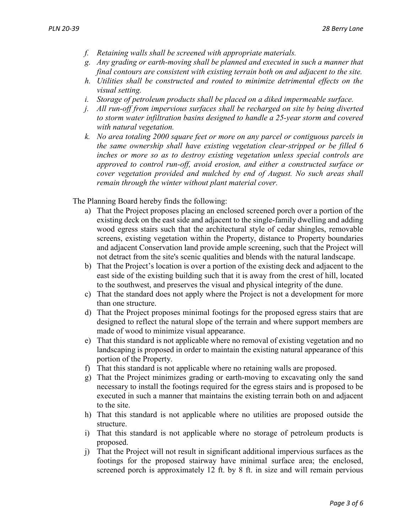- *f. Retaining walls shall be screened with appropriate materials.*
- *g. Any grading or earth-moving shall be planned and executed in such a manner that final contours are consistent with existing terrain both on and adjacent to the site.*
- *h. Utilities shall be constructed and routed to minimize detrimental effects on the visual setting.*
- *i. Storage of petroleum products shall be placed on a diked impermeable surface.*
- *j. All run-off from impervious surfaces shall be recharged on site by being diverted to storm water infiltration basins designed to handle a 25-year storm and covered with natural vegetation.*
- *k. No area totaling 2000 square feet or more on any parcel or contiguous parcels in the same ownership shall have existing vegetation clear-stripped or be filled 6 inches or more so as to destroy existing vegetation unless special controls are approved to control run-off, avoid erosion, and either a constructed surface or cover vegetation provided and mulched by end of August. No such areas shall remain through the winter without plant material cover.*

The Planning Board hereby finds the following:

- a) That the Project proposes placing an enclosed screened porch over a portion of the existing deck on the east side and adjacent to the single-family dwelling and adding wood egress stairs such that the architectural style of cedar shingles, removable screens, existing vegetation within the Property, distance to Property boundaries and adjacent Conservation land provide ample screening, such that the Project will not detract from the site's scenic qualities and blends with the natural landscape.
- b) That the Project's location is over a portion of the existing deck and adjacent to the east side of the existing building such that it is away from the crest of hill, located to the southwest, and preserves the visual and physical integrity of the dune.
- c) That the standard does not apply where the Project is not a development for more than one structure.
- d) That the Project proposes minimal footings for the proposed egress stairs that are designed to reflect the natural slope of the terrain and where support members are made of wood to minimize visual appearance.
- e) That this standard is not applicable where no removal of existing vegetation and no landscaping is proposed in order to maintain the existing natural appearance of this portion of the Property.
- f) That this standard is not applicable where no retaining walls are proposed.
- g) That the Project minimizes grading or earth-moving to excavating only the sand necessary to install the footings required for the egress stairs and is proposed to be executed in such a manner that maintains the existing terrain both on and adjacent to the site.
- h) That this standard is not applicable where no utilities are proposed outside the structure.
- i) That this standard is not applicable where no storage of petroleum products is proposed.
- j) That the Project will not result in significant additional impervious surfaces as the footings for the proposed stairway have minimal surface area; the enclosed, screened porch is approximately 12 ft. by 8 ft. in size and will remain pervious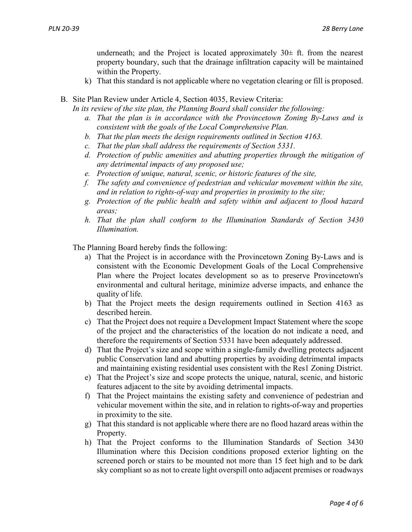underneath; and the Project is located approximately  $30\pm$  ft. from the nearest property boundary, such that the drainage infiltration capacity will be maintained within the Property.

k) That this standard is not applicable where no vegetation clearing or fill is proposed.

#### B. Site Plan Review under Article 4, Section 4035, Review Criteria:

*In its review of the site plan, the Planning Board shall consider the following:*

- *a. That the plan is in accordance with the Provincetown Zoning By-Laws and is consistent with the goals of the Local Comprehensive Plan.*
- *b. That the plan meets the design requirements outlined in Section 4163.*
- *c. That the plan shall address the requirements of Section 5331.*
- *d. Protection of public amenities and abutting properties through the mitigation of any detrimental impacts of any proposed use;*
- *e. Protection of unique, natural, scenic, or historic features of the site,*
- *f. The safety and convenience of pedestrian and vehicular movement within the site, and in relation to rights-of-way and properties in proximity to the site;*
- *g. Protection of the public health and safety within and adjacent to flood hazard areas;*
- *h. That the plan shall conform to the Illumination Standards of Section 3430 Illumination.*

The Planning Board hereby finds the following:

- a) That the Project is in accordance with the Provincetown Zoning By-Laws and is consistent with the Economic Development Goals of the Local Comprehensive Plan where the Project locates development so as to preserve Provincetown's environmental and cultural heritage, minimize adverse impacts, and enhance the quality of life.
- b) That the Project meets the design requirements outlined in Section 4163 as described herein.
- c) That the Project does not require a Development Impact Statement where the scope of the project and the characteristics of the location do not indicate a need, and therefore the requirements of Section 5331 have been adequately addressed.
- d) That the Project's size and scope within a single-family dwelling protects adjacent public Conservation land and abutting properties by avoiding detrimental impacts and maintaining existing residential uses consistent with the Res1 Zoning District.
- e) That the Project's size and scope protects the unique, natural, scenic, and historic features adjacent to the site by avoiding detrimental impacts.
- f) That the Project maintains the existing safety and convenience of pedestrian and vehicular movement within the site, and in relation to rights-of-way and properties in proximity to the site.
- g) That this standard is not applicable where there are no flood hazard areas within the Property.
- h) That the Project conforms to the Illumination Standards of Section 3430 Illumination where this Decision conditions proposed exterior lighting on the screened porch or stairs to be mounted not more than 15 feet high and to be dark sky compliant so as not to create light overspill onto adjacent premises or roadways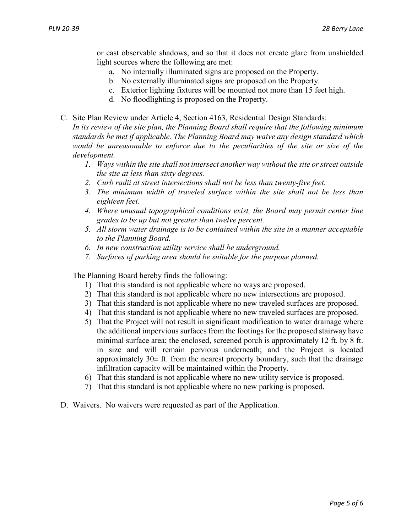or cast observable shadows, and so that it does not create glare from unshielded light sources where the following are met:

- a. No internally illuminated signs are proposed on the Property.
- b. No externally illuminated signs are proposed on the Property.
- c. Exterior lighting fixtures will be mounted not more than 15 feet high.
- d. No floodlighting is proposed on the Property.
- C. Site Plan Review under Article 4, Section 4163, Residential Design Standards: *In its review of the site plan, the Planning Board shall require that the following minimum standards be met if applicable. The Planning Board may waive any design standard which would be unreasonable to enforce due to the peculiarities of the site or size of the development.*
	- *1. Ways within the site shall not intersect another way without the site or street outside the site at less than sixty degrees.*
	- *2. Curb radii at street intersections shall not be less than twenty-five feet.*
	- *3. The minimum width of traveled surface within the site shall not be less than eighteen feet.*
	- *4. Where unusual topographical conditions exist, the Board may permit center line grades to be up but not greater than twelve percent.*
	- *5. All storm water drainage is to be contained within the site in a manner acceptable to the Planning Board.*
	- *6. In new construction utility service shall be underground.*
	- *7. Surfaces of parking area should be suitable for the purpose planned.*

The Planning Board hereby finds the following:

- 1) That this standard is not applicable where no ways are proposed.
- 2) That this standard is not applicable where no new intersections are proposed.
- 3) That this standard is not applicable where no new traveled surfaces are proposed.
- 4) That this standard is not applicable where no new traveled surfaces are proposed.
- 5) That the Project will not result in significant modification to water drainage where the additional impervious surfaces from the footings for the proposed stairway have minimal surface area; the enclosed, screened porch is approximately 12 ft. by 8 ft. in size and will remain pervious underneath; and the Project is located approximately  $30\pm$  ft. from the nearest property boundary, such that the drainage infiltration capacity will be maintained within the Property.
- 6) That this standard is not applicable where no new utility service is proposed.
- 7) That this standard is not applicable where no new parking is proposed.
- D. Waivers. No waivers were requested as part of the Application.